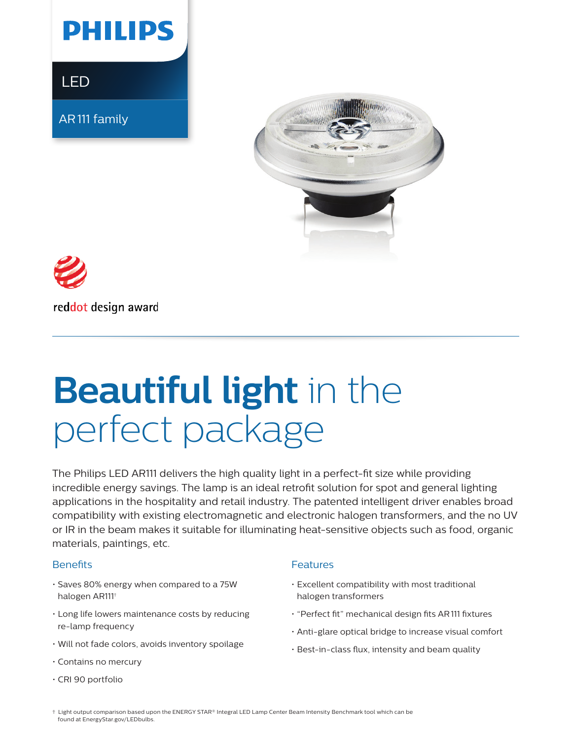

LED

AR111 family





reddot design award

# **Beautiful light** in the perfect package

The Philips LED AR111 delivers the high quality light in a perfect-fit size while providing incredible energy savings. The lamp is an ideal retrofit solution for spot and general lighting applications in the hospitality and retail industry. The patented intelligent driver enables broad compatibility with existing electromagnetic and electronic halogen transformers, and the no UV or IR in the beam makes it suitable for illuminating heat-sensitive objects such as food, organic materials, paintings, etc.

#### **Benefits**

- Saves 80% energy when compared to a 75W halogen AR111†
- Long life lowers maintenance costs by reducing re-lamp frequency
- Will not fade colors, avoids inventory spoilage
- Contains no mercury
- CRI 90 portfolio

#### Features

- Excellent compatibility with most traditional halogen transformers
- "Perfect fit" mechanical design fits AR111 fixtures
- Anti-glare optical bridge to increase visual comfort
- Best-in-class flux, intensity and beam quality